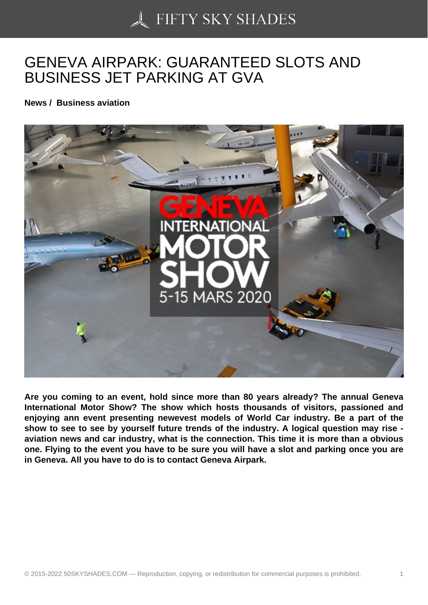## [GENEVA AIRPARK: G](https://50skyshades.com)UARANTEED SLOTS AND BUSINESS JET PARKING AT GVA

News / Business aviation

Are you coming to an event, hold since more than 80 years already? The annual Geneva International Motor Show? The show which hosts thousands of visitors, passioned and enjoying ann event presenting newevest models of World Car industry. Be a part of the show to see to see by yourself future trends of the industry. A logical question may rise aviation news and car industry, what is the connection. This time it is more than a obvious one. Flying to the event you have to be sure you will have a slot and parking once you are in Geneva. All you have to do is to contact Geneva Airpark.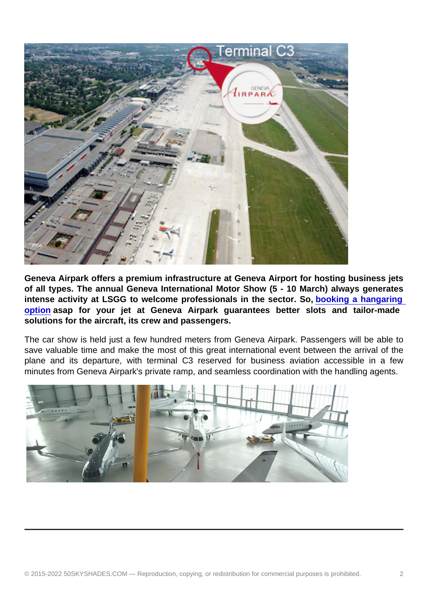Geneva Airpark offers a premium infrastructure at Geneva Airport for hosting business jets of all types. The annual Geneva International Motor Show (5 - 10 March) always generates intense activity at LSGG to welcome professionals in the sector. So, booking a hangaring option asap for your jet at Geneva Airpark guarantees better slots and tailor-made solutions for the aircraft, its crew and passengers.

The car show is held just a few hundred meters from Geneva Airpark. Pas[sengers will be able to](http://www.geneva-airpark.ch/)  [save va](http://www.geneva-airpark.ch/)luable time and make the most of this great international event between the arrival of the plane and its departure, with terminal C3 reserved for business aviation accessible in a few minutes from Geneva Airpark's private ramp, and seamless coordination with the handling agents.